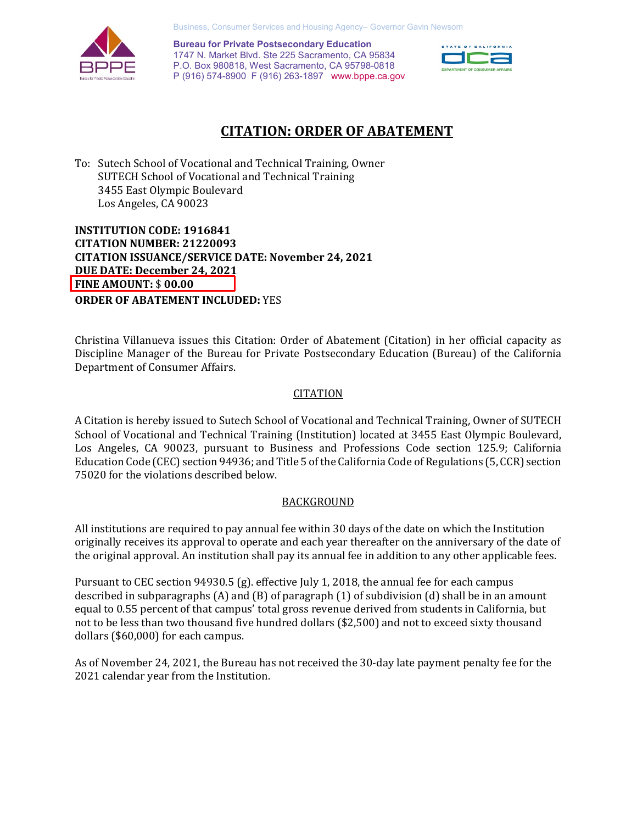Business, Consumer Services and Housing Agency– Governor Gavin Newsom



 P (916) 574-8900 F (916) 263-1897 [www.bppe.ca.gov](https://www.bppe.ca.gov/)  **Bureau for Private Postsecondary Education**  1747 N. Market Blvd. Ste 225 Sacramento, CA 95834 P.O. Box 980818, West Sacramento, CA 95798-0818



# **CITATION: ORDER OF ABATEMENT**

 To: Sutech School of Vocational and Technical Training, Owner SUTECH School of Vocational and Technical Training 3455 East Olympic Boulevard Los Angeles, CA 90023

 **CITATION ISSUANCE/SERVICE DATE: November 24, 2021 INSTITUTION CODE: 1916841 CITATION NUMBER: 21220093 DUE DATE: December 24, 2021 FINE AMOUNT:** \$ **00.00 ORDER OF ABATEMENT INCLUDED:** YES

 Department of Consumer Affairs. Christina Villanueva issues this Citation: Order of Abatement (Citation) in her official capacity as Discipline Manager of the Bureau for Private Postsecondary Education (Bureau) of the California

## **CITATION**

 A Citation is hereby issued to Sutech School of Vocational and Technical Training, Owner of SUTECH Los Angeles, CA 90023, pursuant to Business and Professions Code section 125.9; California Education Code (CEC) section 94936; and Title 5 of the California Code of Regulations (5, CCR) section 75020 for the violations described below. School of Vocational and Technical Training (Institution) located at 3455 East Olympic Boulevard,

### BACKGROUND

 All institutions are required to pay annual fee within 30 days of the date on which the Institution originally receives its approval to operate and each year thereafter on the anniversary of the date of the original approval. An institution shall pay its annual fee in addition to any other applicable fees.

 Pursuant to CEC section 94930.5 (g). effective July 1, 2018, the annual fee for each campus described in subparagraphs (A) and (B) of paragraph (1) of subdivision (d) shall be in an amount equal to 0.55 percent of that campus' total gross revenue derived from students in California, but not to be less than two thousand five hundred dollars (\$2,500) and not to exceed sixty thousand dollars (\$60,000) for each campus.

 As of November 24, 2021, the Bureau has not received the 30-day late payment penalty fee for the 2021 calendar year from the Institution.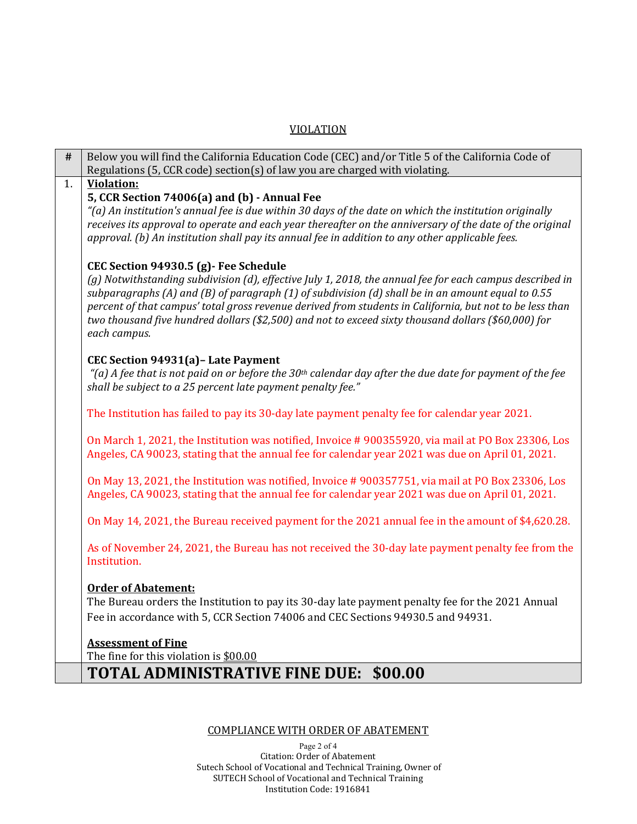## VIOLATION

| #  | Below you will find the California Education Code (CEC) and/or Title 5 of the California Code of                     |
|----|----------------------------------------------------------------------------------------------------------------------|
|    | Regulations (5, CCR code) section(s) of law you are charged with violating.                                          |
| 1. | <b>Violation:</b>                                                                                                    |
|    | 5, CCR Section 74006(a) and (b) - Annual Fee                                                                         |
|    | "(a) An institution's annual fee is due within 30 days of the date on which the institution originally               |
|    | receives its approval to operate and each year thereafter on the anniversary of the date of the original             |
|    | approval. (b) An institution shall pay its annual fee in addition to any other applicable fees.                      |
|    | CEC Section 94930.5 (g) - Fee Schedule                                                                               |
|    | (g) Notwithstanding subdivision (d), effective July 1, 2018, the annual fee for each campus described in             |
|    | subparagraphs (A) and (B) of paragraph (1) of subdivision (d) shall be in an amount equal to 0.55                    |
|    | percent of that campus' total gross revenue derived from students in California, but not to be less than             |
|    | two thousand five hundred dollars (\$2,500) and not to exceed sixty thousand dollars (\$60,000) for                  |
|    | each campus.                                                                                                         |
|    | CEC Section 94931(a) - Late Payment                                                                                  |
|    | "(a) A fee that is not paid on or before the 30 <sup>th</sup> calendar day after the due date for payment of the fee |
|    | shall be subject to a 25 percent late payment penalty fee."                                                          |
|    |                                                                                                                      |
|    | The Institution has failed to pay its 30-day late payment penalty fee for calendar year 2021.                        |
|    |                                                                                                                      |
|    | On March 1, 2021, the Institution was notified, Invoice #900355920, via mail at PO Box 23306, Los                    |
|    | Angeles, CA 90023, stating that the annual fee for calendar year 2021 was due on April 01, 2021.                     |
|    | On May 13, 2021, the Institution was notified, Invoice #900357751, via mail at PO Box 23306, Los                     |
|    | Angeles, CA 90023, stating that the annual fee for calendar year 2021 was due on April 01, 2021.                     |
|    |                                                                                                                      |
|    | On May 14, 2021, the Bureau received payment for the 2021 annual fee in the amount of \$4,620.28.                    |
|    |                                                                                                                      |
|    | As of November 24, 2021, the Bureau has not received the 30-day late payment penalty fee from the<br>Institution.    |
|    |                                                                                                                      |
|    | <b>Order of Abatement:</b>                                                                                           |
|    | The Bureau orders the Institution to pay its 30-day late payment penalty fee for the 2021 Annual                     |
|    | Fee in accordance with 5, CCR Section 74006 and CEC Sections 94930.5 and 94931.                                      |
|    |                                                                                                                      |
|    | <b>Assessment of Fine</b>                                                                                            |
|    | The fine for this violation is \$00.00                                                                               |
|    | <b>TOTAL ADMINISTRATIVE FINE DUE: \$00.00</b>                                                                        |
|    |                                                                                                                      |

# COMPLIANCE WITH ORDER OF ABATEMENT

Page 2 of 4 Citation: Order of Abatement Sutech School of Vocational and Technical Training, Owner of SUTECH School of Vocational and Technical Training Institution Code: 1916841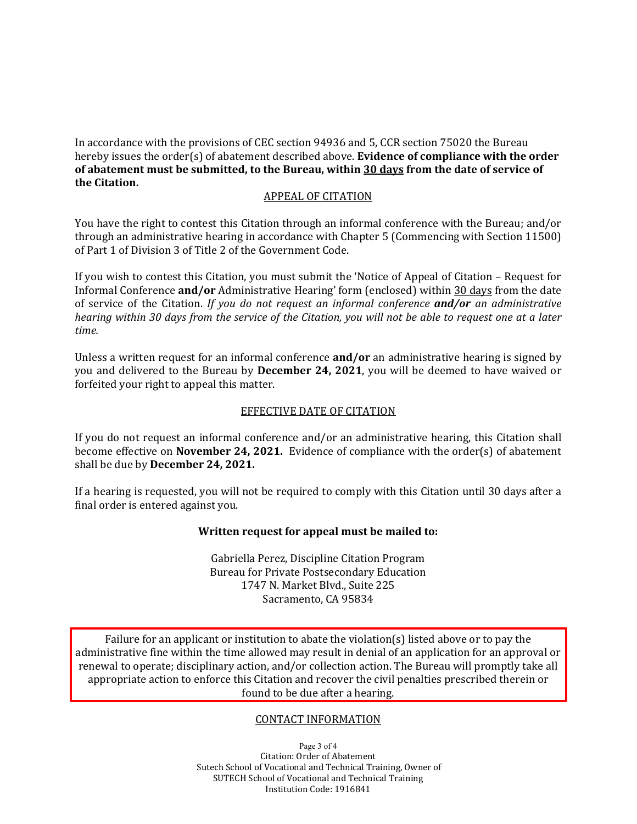In accordance with the provisions of CEC section 94936 and 5, CCR section 75020 the Bureau hereby issues the order(s) of abatement described above. **Evidence of compliance with the order of abatement must be submitted, to the Bureau, within 30 days from the date of service of the Citation.** 

# APPEAL OF CITATION

 You have the right to contest this Citation through an informal conference with the Bureau; and/or through an administrative hearing in accordance with Chapter 5 (Commencing with Section 11500) of Part 1 of Division 3 of Title 2 of the Government Code.

 If you wish to contest this Citation, you must submit the 'Notice of Appeal of Citation – Request for  *hearing within 30 days from the service of the Citation, you will not be able to request one at a later*  Informal Conference **and/or** Administrative Hearing' form (enclosed) within 30 days from the date of service of the Citation. *If you do not request an informal conference and/or an administrative time.* 

 Unless a written request for an informal conference **and/or** an administrative hearing is signed by forfeited your right to appeal this matter. you and delivered to the Bureau by **December 24, 2021**, you will be deemed to have waived or

#### EFFECTIVE DATE OF CITATION

 If you do not request an informal conference and/or an administrative hearing, this Citation shall  become effective on **November 24, 2021.** Evidence of compliance with the order(s) of abatement shall be due by **December 24, 2021.** 

 If a hearing is requested, you will not be required to comply with this Citation until 30 days after a final order is entered against you.

#### **Written request for appeal must be mailed to:**

 Gabriella Perez, Discipline Citation Program Bureau for Private Postsecondary Education 1747 N. Market Blvd., Suite 225 Sacramento, CA 95834

 Failure for an applicant or institution to abate the violation(s) listed above or to pay the administrative fine within the time allowed may result in denial of an application for an approval or renewal to operate; disciplinary action, and/or collection action. The Bureau will promptly take all appropriate action to enforce this Citation and recover the civil penalties prescribed therein or found to be due after a hearing.

### CONTACT INFORMATION

Page 3 of 4 Citation: Order of Abatement Sutech School of Vocational and Technical Training, Owner of SUTECH School of Vocational and Technical Training Institution Code: 1916841